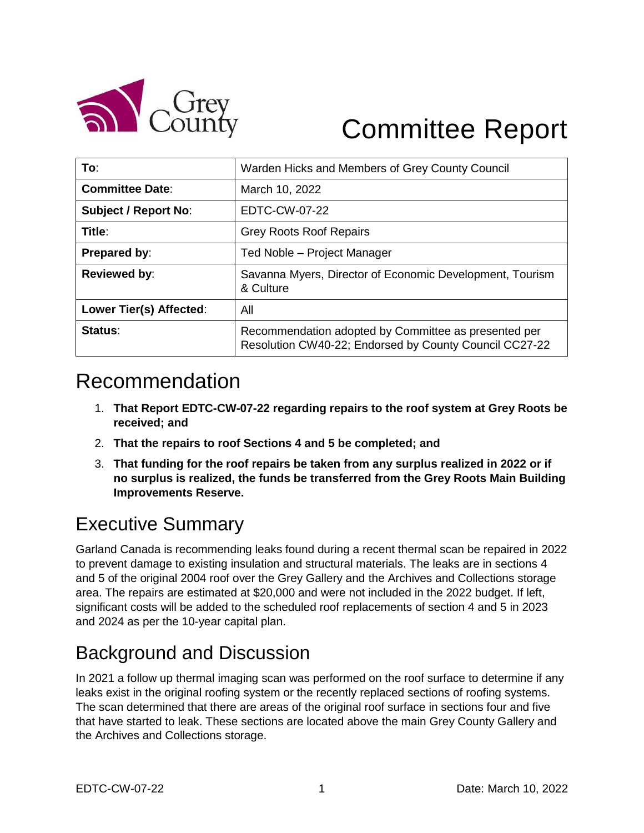

# Committee Report

| To:                         | Warden Hicks and Members of Grey County Council                                                                |
|-----------------------------|----------------------------------------------------------------------------------------------------------------|
| <b>Committee Date:</b>      | March 10, 2022                                                                                                 |
| <b>Subject / Report No:</b> | EDTC-CW-07-22                                                                                                  |
| Title:                      | <b>Grey Roots Roof Repairs</b>                                                                                 |
| Prepared by:                | Ted Noble - Project Manager                                                                                    |
| <b>Reviewed by:</b>         | Savanna Myers, Director of Economic Development, Tourism<br>& Culture                                          |
| Lower Tier(s) Affected:     | All                                                                                                            |
| Status:                     | Recommendation adopted by Committee as presented per<br>Resolution CW40-22; Endorsed by County Council CC27-22 |

## Recommendation

- 1. **That Report EDTC-CW-07-22 regarding repairs to the roof system at Grey Roots be received; and**
- 2. **That the repairs to roof Sections 4 and 5 be completed; and**
- 3. **That funding for the roof repairs be taken from any surplus realized in 2022 or if no surplus is realized, the funds be transferred from the Grey Roots Main Building Improvements Reserve.**

#### Executive Summary

Garland Canada is recommending leaks found during a recent thermal scan be repaired in 2022 to prevent damage to existing insulation and structural materials. The leaks are in sections 4 and 5 of the original 2004 roof over the Grey Gallery and the Archives and Collections storage area. The repairs are estimated at \$20,000 and were not included in the 2022 budget. If left, significant costs will be added to the scheduled roof replacements of section 4 and 5 in 2023 and 2024 as per the 10-year capital plan.

#### Background and Discussion

In 2021 a follow up thermal imaging scan was performed on the roof surface to determine if any leaks exist in the original roofing system or the recently replaced sections of roofing systems. The scan determined that there are areas of the original roof surface in sections four and five that have started to leak. These sections are located above the main Grey County Gallery and the Archives and Collections storage.